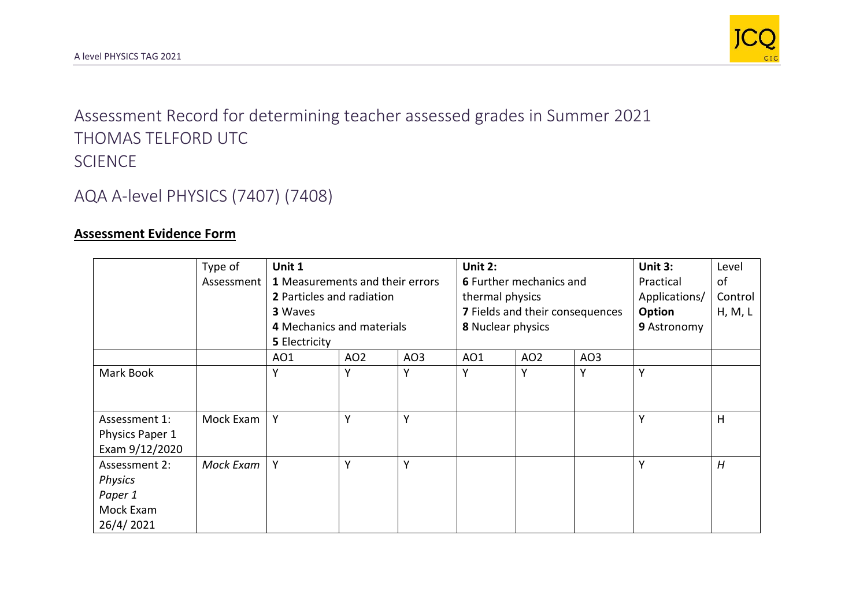

Assessment Record for determining teacher assessed grades in Summer 2021 THOMAS TELFORD UTC SCIENCE

## AQA A-level PHYSICS (7407) (7408)

## **Assessment Evidence Form**

|                 | Type of    | Unit 1                           |                 |             | Unit 2:                                              |                 |                 | Unit 3:       | Level   |
|-----------------|------------|----------------------------------|-----------------|-------------|------------------------------------------------------|-----------------|-----------------|---------------|---------|
|                 | Assessment | 1 Measurements and their errors  |                 |             | <b>6</b> Further mechanics and                       |                 |                 | Practical     | of      |
|                 |            | <b>2</b> Particles and radiation |                 |             | thermal physics                                      |                 |                 | Applications/ | Control |
|                 |            | 3 Waves                          |                 |             | 7 Fields and their consequences<br>8 Nuclear physics |                 |                 | Option        | H, M, L |
|                 |            | 4 Mechanics and materials        |                 | 9 Astronomy |                                                      |                 |                 |               |         |
|                 |            | 5 Electricity                    |                 |             |                                                      |                 |                 |               |         |
|                 |            | AO1                              | AO <sub>2</sub> | AO3         | AO1                                                  | AO <sub>2</sub> | AO <sub>3</sub> |               |         |
| Mark Book       |            | Υ                                | Y               | Y           | Υ                                                    | Y               | v               | Y             |         |
|                 |            |                                  |                 |             |                                                      |                 |                 |               |         |
| Assessment 1:   | Mock Exam  | Υ                                | Y               | Y           |                                                      |                 |                 | Υ             | H       |
| Physics Paper 1 |            |                                  |                 |             |                                                      |                 |                 |               |         |
| Exam 9/12/2020  |            |                                  |                 |             |                                                      |                 |                 |               |         |
| Assessment 2:   | Mock Exam  | Y                                | Y               | Y           |                                                      |                 |                 | Y             | H       |
| Physics         |            |                                  |                 |             |                                                      |                 |                 |               |         |
| Paper 1         |            |                                  |                 |             |                                                      |                 |                 |               |         |
| Mock Exam       |            |                                  |                 |             |                                                      |                 |                 |               |         |
| 26/4/2021       |            |                                  |                 |             |                                                      |                 |                 |               |         |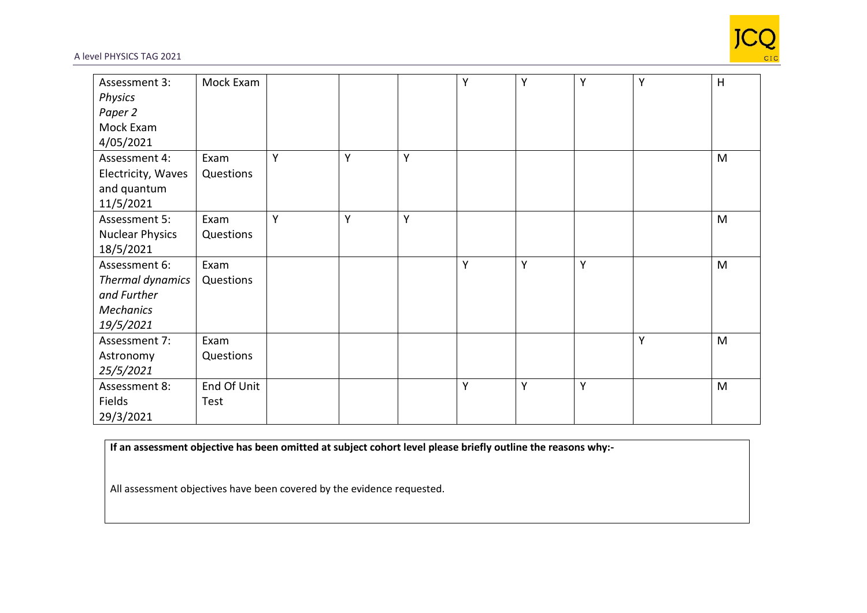

## A level PHYSICS TAG 2021

| Assessment 3:          | Mock Exam   |   |   |   | $\mathsf{Y}$ | Y | Y | Y | H |
|------------------------|-------------|---|---|---|--------------|---|---|---|---|
| Physics                |             |   |   |   |              |   |   |   |   |
| Paper 2                |             |   |   |   |              |   |   |   |   |
| Mock Exam              |             |   |   |   |              |   |   |   |   |
| 4/05/2021              |             |   |   |   |              |   |   |   |   |
| Assessment 4:          | Exam        | Y | Y | Y |              |   |   |   | M |
| Electricity, Waves     | Questions   |   |   |   |              |   |   |   |   |
| and quantum            |             |   |   |   |              |   |   |   |   |
| 11/5/2021              |             |   |   |   |              |   |   |   |   |
| Assessment 5:          | Exam        | Y | Y | Y |              |   |   |   | M |
| <b>Nuclear Physics</b> | Questions   |   |   |   |              |   |   |   |   |
| 18/5/2021              |             |   |   |   |              |   |   |   |   |
| Assessment 6:          | Exam        |   |   |   | Υ            | Y | Y |   | M |
| Thermal dynamics       | Questions   |   |   |   |              |   |   |   |   |
| and Further            |             |   |   |   |              |   |   |   |   |
| <b>Mechanics</b>       |             |   |   |   |              |   |   |   |   |
| 19/5/2021              |             |   |   |   |              |   |   |   |   |
| Assessment 7:          | Exam        |   |   |   |              |   |   | Y | M |
| Astronomy              | Questions   |   |   |   |              |   |   |   |   |
| 25/5/2021              |             |   |   |   |              |   |   |   |   |
| Assessment 8:          | End Of Unit |   |   |   | Y            | Y | Υ |   | M |
| Fields                 | Test        |   |   |   |              |   |   |   |   |
| 29/3/2021              |             |   |   |   |              |   |   |   |   |

**If an assessment objective has been omitted at subject cohort level please briefly outline the reasons why:-**

All assessment objectives have been covered by the evidence requested.